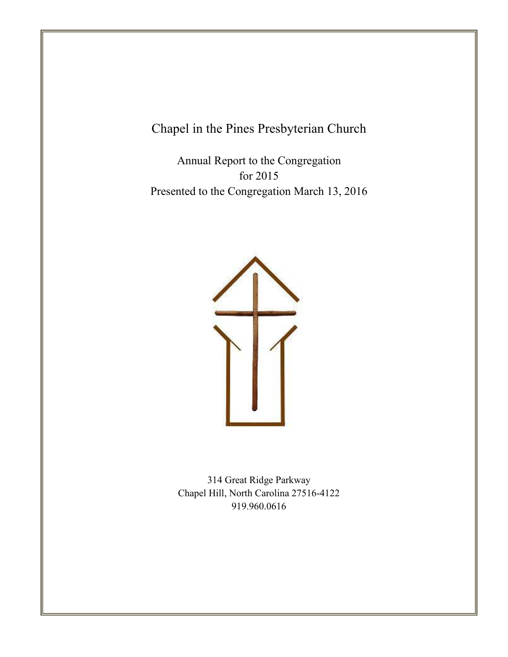Chapel in the Pines Presbyterian Church

Table of Contents of Contents of Contents of Contents of Contents of Contents of Contents of Contents of Conte

Annual Report to the Congregation for 2015 Presented to the Congregation March 13, 2016



314 Great Ridge Parkway Chapel Hill, North Carolina 27516-4122 919.960.0616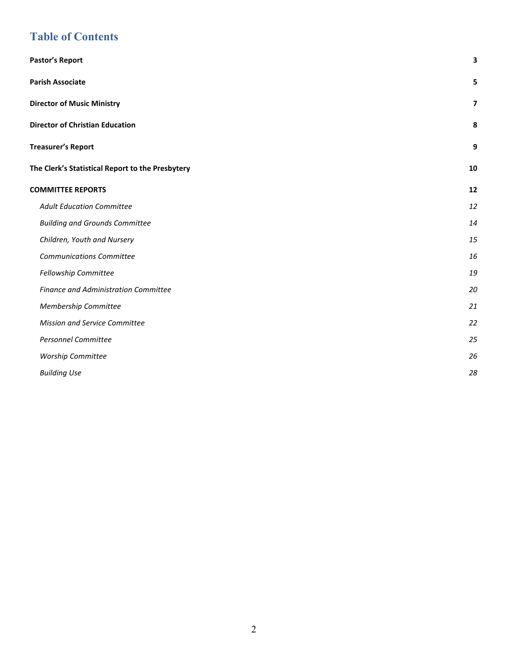# **Table of Contents**

| Pastor's Report                                  | 3              |
|--------------------------------------------------|----------------|
| <b>Parish Associate</b>                          | 5              |
| <b>Director of Music Ministry</b>                | $\overline{7}$ |
| <b>Director of Christian Education</b>           | 8              |
| <b>Treasurer's Report</b>                        | 9              |
| The Clerk's Statistical Report to the Presbytery | 10             |
| <b>COMMITTEE REPORTS</b>                         | 12             |
| <b>Adult Education Committee</b>                 | 12             |
| <b>Building and Grounds Committee</b>            | 14             |
| Children, Youth and Nursery                      | 15             |
| <b>Communications Committee</b>                  | 16             |
| Fellowship Committee                             | 19             |
| <b>Finance and Administration Committee</b>      | 20             |
| Membership Committee                             | 21             |
| Mission and Service Committee                    | 22             |
| <b>Personnel Committee</b>                       | 25             |
| Worship Committee                                | 26             |
| <b>Building Use</b>                              | 28             |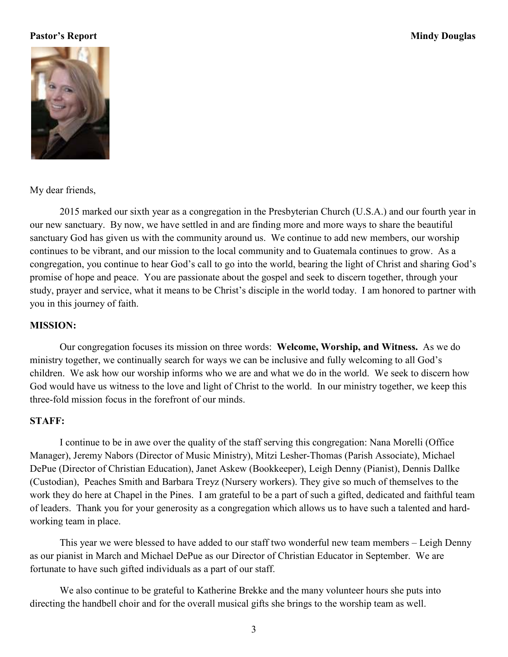## **Pastor's Report Mindy Douglas**



My dear friends,

 2015 marked our sixth year as a congregation in the Presbyterian Church (U.S.A.) and our fourth year in our new sanctuary. By now, we have settled in and are finding more and more ways to share the beautiful sanctuary God has given us with the community around us. We continue to add new members, our worship continues to be vibrant, and our mission to the local community and to Guatemala continues to grow. As a congregation, you continue to hear God's call to go into the world, bearing the light of Christ and sharing God's promise of hope and peace. You are passionate about the gospel and seek to discern together, through your study, prayer and service, what it means to be Christ's disciple in the world today. I am honored to partner with you in this journey of faith.

#### **MISSION:**

 Our congregation focuses its mission on three words: **Welcome, Worship, and Witness.** As we do ministry together, we continually search for ways we can be inclusive and fully welcoming to all God's children. We ask how our worship informs who we are and what we do in the world. We seek to discern how God would have us witness to the love and light of Christ to the world. In our ministry together, we keep this three-fold mission focus in the forefront of our minds.

#### **STAFF:**

I continue to be in awe over the quality of the staff serving this congregation: Nana Morelli (Office Manager), Jeremy Nabors (Director of Music Ministry), Mitzi Lesher-Thomas (Parish Associate), Michael DePue (Director of Christian Education), Janet Askew (Bookkeeper), Leigh Denny (Pianist), Dennis Dallke (Custodian), Peaches Smith and Barbara Treyz (Nursery workers). They give so much of themselves to the work they do here at Chapel in the Pines. I am grateful to be a part of such a gifted, dedicated and faithful team of leaders. Thank you for your generosity as a congregation which allows us to have such a talented and hardworking team in place.

This year we were blessed to have added to our staff two wonderful new team members – Leigh Denny as our pianist in March and Michael DePue as our Director of Christian Educator in September. We are fortunate to have such gifted individuals as a part of our staff.

We also continue to be grateful to Katherine Brekke and the many volunteer hours she puts into directing the handbell choir and for the overall musical gifts she brings to the worship team as well.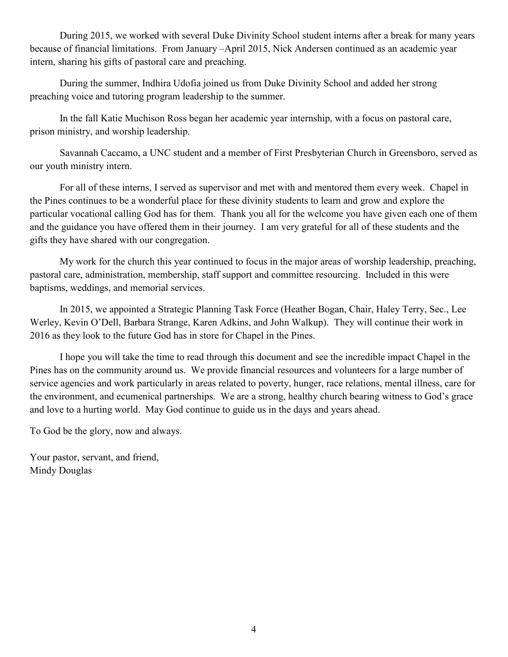During 2015, we worked with several Duke Divinity School student interns after a break for many years because of financial limitations. From January –April 2015, Nick Andersen continued as an academic year intern, sharing his gifts of pastoral care and preaching.

During the summer, Indhira Udofia joined us from Duke Divinity School and added her strong preaching voice and tutoring program leadership to the summer.

In the fall Katie Muchison Ross began her academic year internship, with a focus on pastoral care, prison ministry, and worship leadership.

Savannah Caccamo, a UNC student and a member of First Presbyterian Church in Greensboro, served as our youth ministry intern.

For all of these interns, I served as supervisor and met with and mentored them every week. Chapel in the Pines continues to be a wonderful place for these divinity students to learn and grow and explore the particular vocational calling God has for them. Thank you all for the welcome you have given each one of them and the guidance you have offered them in their journey. I am very grateful for all of these students and the gifts they have shared with our congregation.

My work for the church this year continued to focus in the major areas of worship leadership, preaching, pastoral care, administration, membership, staff support and committee resourcing. Included in this were baptisms, weddings, and memorial services.

In 2015, we appointed a Strategic Planning Task Force (Heather Bogan, Chair, Haley Terry, Sec., Lee Werley, Kevin O'Dell, Barbara Strange, Karen Adkins, and John Walkup). They will continue their work in 2016 as they look to the future God has in store for Chapel in the Pines.

 I hope you will take the time to read through this document and see the incredible impact Chapel in the Pines has on the community around us. We provide financial resources and volunteers for a large number of service agencies and work particularly in areas related to poverty, hunger, race relations, mental illness, care for the environment, and ecumenical partnerships. We are a strong, healthy church bearing witness to God's grace and love to a hurting world. May God continue to guide us in the days and years ahead.

To God be the glory, now and always.

Your pastor, servant, and friend, Mindy Douglas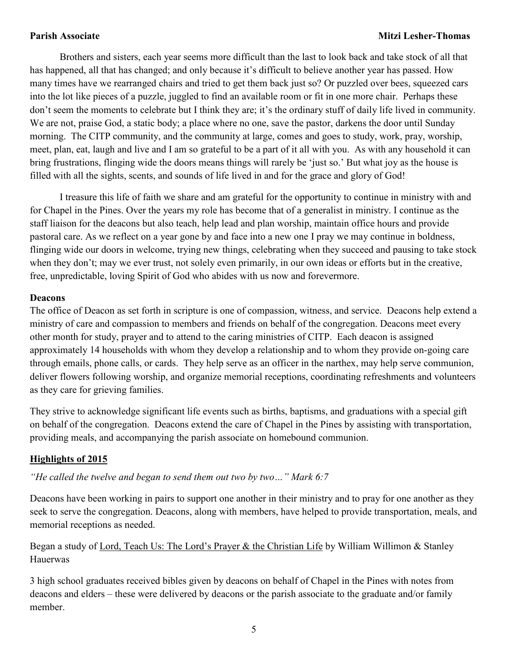### **Parish Associate Mitzi Lesher-Thomas**

Brothers and sisters, each year seems more difficult than the last to look back and take stock of all that has happened, all that has changed; and only because it's difficult to believe another year has passed. How many times have we rearranged chairs and tried to get them back just so? Or puzzled over bees, squeezed cars into the lot like pieces of a puzzle, juggled to find an available room or fit in one more chair. Perhaps these don't seem the moments to celebrate but I think they are; it's the ordinary stuff of daily life lived in community. We are not, praise God, a static body; a place where no one, save the pastor, darkens the door until Sunday morning. The CITP community, and the community at large, comes and goes to study, work, pray, worship, meet, plan, eat, laugh and live and I am so grateful to be a part of it all with you. As with any household it can bring frustrations, flinging wide the doors means things will rarely be 'just so.' But what joy as the house is filled with all the sights, scents, and sounds of life lived in and for the grace and glory of God!

I treasure this life of faith we share and am grateful for the opportunity to continue in ministry with and for Chapel in the Pines. Over the years my role has become that of a generalist in ministry. I continue as the staff liaison for the deacons but also teach, help lead and plan worship, maintain office hours and provide pastoral care. As we reflect on a year gone by and face into a new one I pray we may continue in boldness, flinging wide our doors in welcome, trying new things, celebrating when they succeed and pausing to take stock when they don't; may we ever trust, not solely even primarily, in our own ideas or efforts but in the creative, free, unpredictable, loving Spirit of God who abides with us now and forevermore.

#### **Deacons**

The office of Deacon as set forth in scripture is one of compassion, witness, and service. Deacons help extend a ministry of care and compassion to members and friends on behalf of the congregation. Deacons meet every other month for study, prayer and to attend to the caring ministries of CITP. Each deacon is assigned approximately 14 households with whom they develop a relationship and to whom they provide on-going care through emails, phone calls, or cards. They help serve as an officer in the narthex, may help serve communion, deliver flowers following worship, and organize memorial receptions, coordinating refreshments and volunteers as they care for grieving families.

They strive to acknowledge significant life events such as births, baptisms, and graduations with a special gift on behalf of the congregation. Deacons extend the care of Chapel in the Pines by assisting with transportation, providing meals, and accompanying the parish associate on homebound communion.

#### **Highlights of 2015**

*"He called the twelve and began to send them out two by two…" Mark 6:7* 

Deacons have been working in pairs to support one another in their ministry and to pray for one another as they seek to serve the congregation. Deacons, along with members, have helped to provide transportation, meals, and memorial receptions as needed.

Began a study of Lord, Teach Us: The Lord's Prayer & the Christian Life by William Willimon & Stanley Hauerwas

3 high school graduates received bibles given by deacons on behalf of Chapel in the Pines with notes from deacons and elders – these were delivered by deacons or the parish associate to the graduate and/or family member.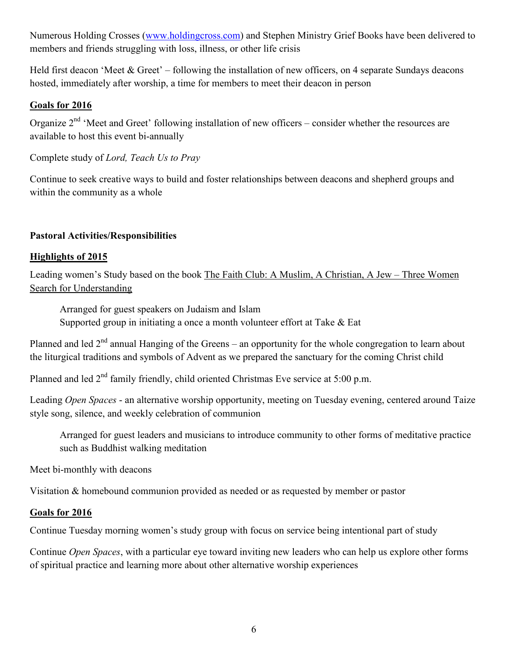Numerous Holding Crosses (www.holdingcross.com) and Stephen Ministry Grief Books have been delivered to members and friends struggling with loss, illness, or other life crisis

Held first deacon 'Meet  $&$  Greet' – following the installation of new officers, on 4 separate Sundays deacons hosted, immediately after worship, a time for members to meet their deacon in person

## **Goals for 2016**

Organize 2<sup>nd</sup> 'Meet and Greet' following installation of new officers – consider whether the resources are available to host this event bi-annually

Complete study of *Lord, Teach Us to Pray* 

Continue to seek creative ways to build and foster relationships between deacons and shepherd groups and within the community as a whole

## **Pastoral Activities/Responsibilities**

## **Highlights of 2015**

Leading women's Study based on the book The Faith Club: A Muslim, A Christian, A Jew – Three Women Search for Understanding

 Arranged for guest speakers on Judaism and Islam Supported group in initiating a once a month volunteer effort at Take & Eat

Planned and led  $2<sup>nd</sup>$  annual Hanging of the Greens – an opportunity for the whole congregation to learn about the liturgical traditions and symbols of Advent as we prepared the sanctuary for the coming Christ child

Planned and led  $2<sup>nd</sup>$  family friendly, child oriented Christmas Eve service at 5:00 p.m.

Leading *Open Spaces* - an alternative worship opportunity, meeting on Tuesday evening, centered around Taize style song, silence, and weekly celebration of communion

Arranged for guest leaders and musicians to introduce community to other forms of meditative practice such as Buddhist walking meditation

Meet bi-monthly with deacons

Visitation & homebound communion provided as needed or as requested by member or pastor

## **Goals for 2016**

Continue Tuesday morning women's study group with focus on service being intentional part of study

Continue *Open Spaces*, with a particular eye toward inviting new leaders who can help us explore other forms of spiritual practice and learning more about other alternative worship experiences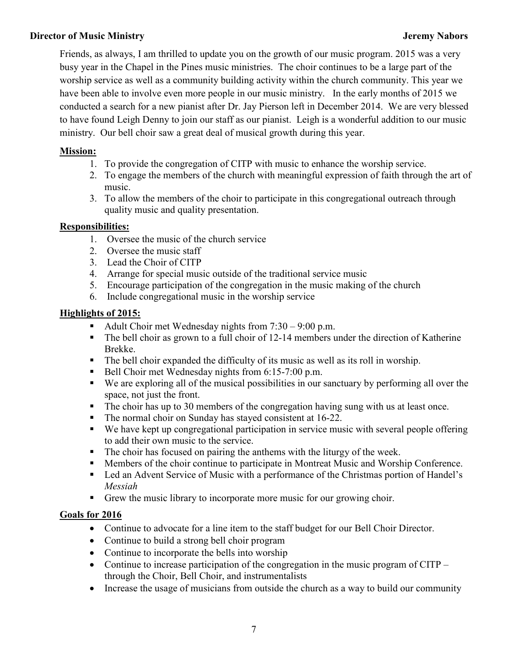## **Director of Music Ministry** *Director* of Music Ministry *Jeremy Nabors*

Friends, as always, I am thrilled to update you on the growth of our music program. 2015 was a very busy year in the Chapel in the Pines music ministries. The choir continues to be a large part of the worship service as well as a community building activity within the church community. This year we have been able to involve even more people in our music ministry. In the early months of 2015 we conducted a search for a new pianist after Dr. Jay Pierson left in December 2014. We are very blessed to have found Leigh Denny to join our staff as our pianist. Leigh is a wonderful addition to our music ministry. Our bell choir saw a great deal of musical growth during this year.

## **Mission:**

- 1. To provide the congregation of CITP with music to enhance the worship service.
- 2. To engage the members of the church with meaningful expression of faith through the art of music.
- 3. To allow the members of the choir to participate in this congregational outreach through quality music and quality presentation.

## **Responsibilities:**

- 1. Oversee the music of the church service
- 2. Oversee the music staff
- 3. Lead the Choir of CITP
- 4. Arrange for special music outside of the traditional service music
- 5. Encourage participation of the congregation in the music making of the church
- 6. Include congregational music in the worship service

## **Highlights of 2015:**

- Adult Choir met Wednesday nights from  $7:30 9:00$  p.m.
- The bell choir as grown to a full choir of 12-14 members under the direction of Katherine Brekke.
- The bell choir expanded the difficulty of its music as well as its roll in worship.
- Bell Choir met Wednesday nights from 6:15-7:00 p.m.
- We are exploring all of the musical possibilities in our sanctuary by performing all over the space, not just the front.
- The choir has up to 30 members of the congregation having sung with us at least once.
- The normal choir on Sunday has stayed consistent at 16-22.
- We have kept up congregational participation in service music with several people offering to add their own music to the service.
- The choir has focused on pairing the anthems with the liturgy of the week.
- **Members of the choir continue to participate in Montreat Music and Worship Conference.**
- Led an Advent Service of Music with a performance of the Christmas portion of Handel's *Messiah*
- Grew the music library to incorporate more music for our growing choir.

## **Goals for 2016**

- Continue to advocate for a line item to the staff budget for our Bell Choir Director.
- Continue to build a strong bell choir program
- Continue to incorporate the bells into worship
- Continue to increase participation of the congregation in the music program of CITP through the Choir, Bell Choir, and instrumentalists
- Increase the usage of musicians from outside the church as a way to build our community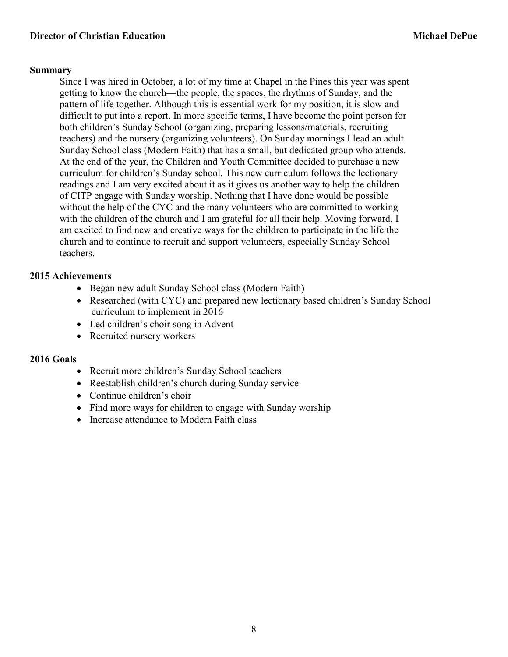## **Summary**

Since I was hired in October, a lot of my time at Chapel in the Pines this year was spent getting to know the church—the people, the spaces, the rhythms of Sunday, and the pattern of life together. Although this is essential work for my position, it is slow and difficult to put into a report. In more specific terms, I have become the point person for both children's Sunday School (organizing, preparing lessons/materials, recruiting teachers) and the nursery (organizing volunteers). On Sunday mornings I lead an adult Sunday School class (Modern Faith) that has a small, but dedicated group who attends. At the end of the year, the Children and Youth Committee decided to purchase a new curriculum for children's Sunday school. This new curriculum follows the lectionary readings and I am very excited about it as it gives us another way to help the children of CITP engage with Sunday worship. Nothing that I have done would be possible without the help of the CYC and the many volunteers who are committed to working with the children of the church and I am grateful for all their help. Moving forward, I am excited to find new and creative ways for the children to participate in the life the church and to continue to recruit and support volunteers, especially Sunday School teachers.

## **2015 Achievements**

- Began new adult Sunday School class (Modern Faith)
- Researched (with CYC) and prepared new lectionary based children's Sunday School curriculum to implement in 2016
- Led children's choir song in Advent
- Recruited nursery workers

## **2016 Goals**

- Recruit more children's Sunday School teachers
- Reestablish children's church during Sunday service
- Continue children's choir
- Find more ways for children to engage with Sunday worship
- Increase attendance to Modern Faith class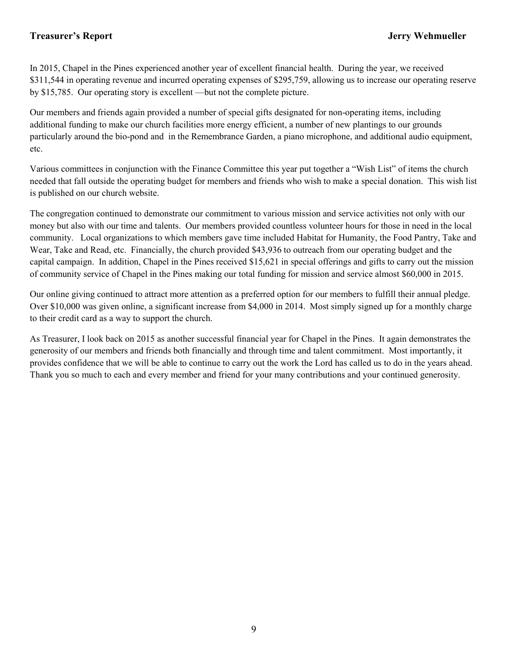## **Treasurer's Report Jerry Wehmueller**

In 2015, Chapel in the Pines experienced another year of excellent financial health. During the year, we received \$311,544 in operating revenue and incurred operating expenses of \$295,759, allowing us to increase our operating reserve by \$15,785. Our operating story is excellent —but not the complete picture.

Our members and friends again provided a number of special gifts designated for non-operating items, including additional funding to make our church facilities more energy efficient, a number of new plantings to our grounds particularly around the bio-pond and in the Remembrance Garden, a piano microphone, and additional audio equipment, etc.

Various committees in conjunction with the Finance Committee this year put together a "Wish List" of items the church needed that fall outside the operating budget for members and friends who wish to make a special donation. This wish list is published on our church website.

The congregation continued to demonstrate our commitment to various mission and service activities not only with our money but also with our time and talents. Our members provided countless volunteer hours for those in need in the local community. Local organizations to which members gave time included Habitat for Humanity, the Food Pantry, Take and Wear, Take and Read, etc. Financially, the church provided \$43,936 to outreach from our operating budget and the capital campaign. In addition, Chapel in the Pines received \$15,621 in special offerings and gifts to carry out the mission of community service of Chapel in the Pines making our total funding for mission and service almost \$60,000 in 2015.

Our online giving continued to attract more attention as a preferred option for our members to fulfill their annual pledge. Over \$10,000 was given online, a significant increase from \$4,000 in 2014. Most simply signed up for a monthly charge to their credit card as a way to support the church.

As Treasurer, I look back on 2015 as another successful financial year for Chapel in the Pines. It again demonstrates the generosity of our members and friends both financially and through time and talent commitment. Most importantly, it provides confidence that we will be able to continue to carry out the work the Lord has called us to do in the years ahead. Thank you so much to each and every member and friend for your many contributions and your continued generosity.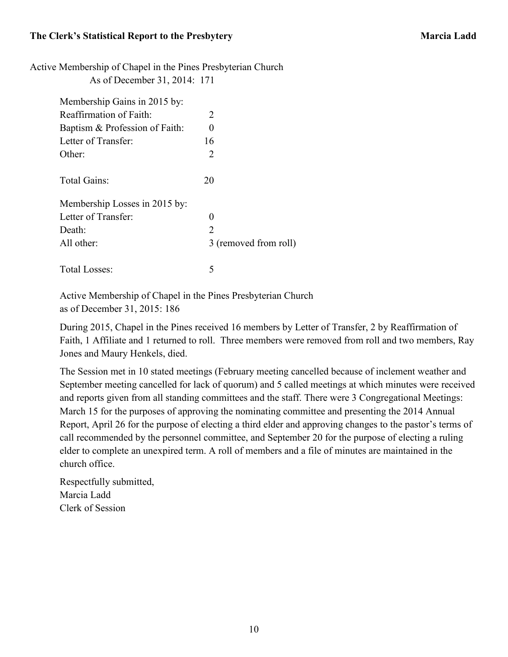Active Membership of Chapel in the Pines Presbyterian Church

As of December 31, 2014: 171

| Membership Gains in 2015 by:   |                               |
|--------------------------------|-------------------------------|
| Reaffirmation of Faith:        | 2                             |
| Baptism & Profession of Faith: | 0                             |
| Letter of Transfer:            | 16                            |
| Other:                         | 2                             |
| Total Gains:                   | 20                            |
| Membership Losses in 2015 by:  |                               |
| Letter of Transfer:            | 0                             |
| Death:                         | $\mathfrak{D}_{\mathfrak{p}}$ |
| All other:                     | 3 (removed from roll)         |
| Total Losses:                  | 5                             |

 Active Membership of Chapel in the Pines Presbyterian Church as of December 31, 2015: 186

During 2015, Chapel in the Pines received 16 members by Letter of Transfer, 2 by Reaffirmation of Faith, 1 Affiliate and 1 returned to roll. Three members were removed from roll and two members, Ray Jones and Maury Henkels, died.

The Session met in 10 stated meetings (February meeting cancelled because of inclement weather and September meeting cancelled for lack of quorum) and 5 called meetings at which minutes were received and reports given from all standing committees and the staff. There were 3 Congregational Meetings: March 15 for the purposes of approving the nominating committee and presenting the 2014 Annual Report, April 26 for the purpose of electing a third elder and approving changes to the pastor's terms of call recommended by the personnel committee, and September 20 for the purpose of electing a ruling elder to complete an unexpired term. A roll of members and a file of minutes are maintained in the church office.

Respectfully submitted, Marcia Ladd Clerk of Session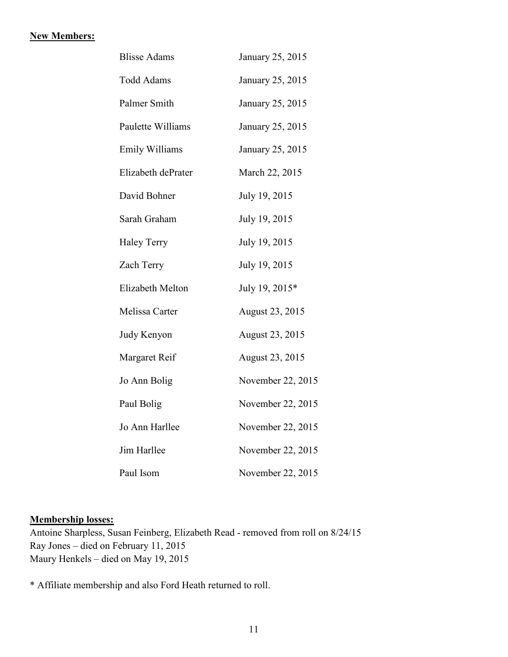#### **New Members:**

| <b>Blisse Adams</b>   | January 25, 2015  |
|-----------------------|-------------------|
| <b>Todd Adams</b>     | January 25, 2015  |
| Palmer Smith          | January 25, 2015  |
| Paulette Williams     | January 25, 2015  |
| <b>Emily Williams</b> | January 25, 2015  |
| Elizabeth dePrater    | March 22, 2015    |
| David Bohner          | July 19, 2015     |
| Sarah Graham          | July 19, 2015     |
| <b>Haley Terry</b>    | July 19, 2015     |
| Zach Terry            | July 19, 2015     |
| Elizabeth Melton      | July 19, 2015*    |
| Melissa Carter        | August 23, 2015   |
| Judy Kenyon           | August 23, 2015   |
| Margaret Reif         | August 23, 2015   |
| Jo Ann Bolig          | November 22, 2015 |
| Paul Bolig            | November 22, 2015 |
| Jo Ann Harllee        | November 22, 2015 |
| Jim Harllee           | November 22, 2015 |
| Paul Isom             | November 22, 2015 |

## **Membership losses:**

Antoine Sharpless, Susan Feinberg, Elizabeth Read - removed from roll on 8/24/15 Ray Jones – died on February 11, 2015 Maury Henkels – died on May 19, 2015

\* Affiliate membership and also Ford Heath returned to roll.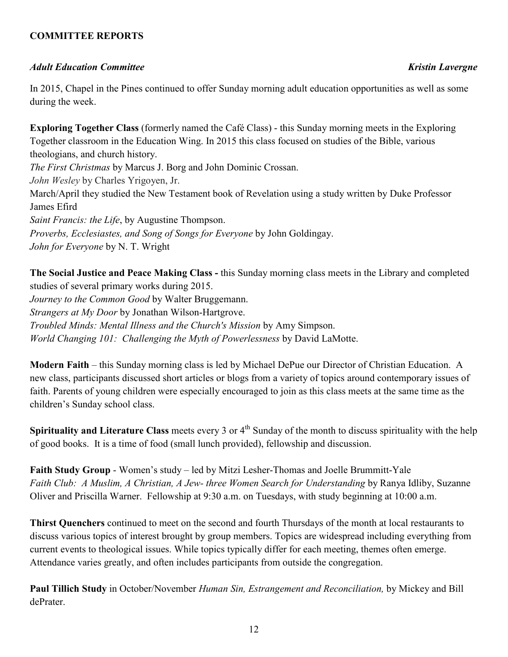## **COMMITTEE REPORTS**

## *Adult Education Committee Kristin Lavergne*

In 2015, Chapel in the Pines continued to offer Sunday morning adult education opportunities as well as some during the week.

**Exploring Together Class** (formerly named the Café Class) - this Sunday morning meets in the Exploring Together classroom in the Education Wing. In 2015 this class focused on studies of the Bible, various theologians, and church history. *The First Christmas* by Marcus J. Borg and John Dominic Crossan. *John Wesley* by Charles Yrigoyen, Jr. March/April they studied the New Testament book of Revelation using a study written by Duke Professor James Efird *Saint Francis: the Life*, by Augustine Thompson. *Proverbs, Ecclesiastes, and Song of Songs for Everyone* by John Goldingay. *John for Everyone* by N. T. Wright

**The Social Justice and Peace Making Class -** this Sunday morning class meets in the Library and completed studies of several primary works during 2015. *Journey to the Common Good* by Walter Bruggemann. *Strangers at My Door* by Jonathan Wilson-Hartgrove. *Troubled Minds: Mental Illness and the Church's Mission* by Amy Simpson. *World Changing 101: Challenging the Myth of Powerlessness* by David LaMotte.

**Modern Faith** – this Sunday morning class is led by Michael DePue our Director of Christian Education. A new class, participants discussed short articles or blogs from a variety of topics around contemporary issues of faith. Parents of young children were especially encouraged to join as this class meets at the same time as the children's Sunday school class.

**Spirituality and Literature Class** meets every 3 or 4<sup>th</sup> Sunday of the month to discuss spirituality with the help of good books. It is a time of food (small lunch provided), fellowship and discussion.

**Faith Study Group** - Women's study – led by Mitzi Lesher-Thomas and Joelle Brummitt-Yale *Faith Club: A Muslim, A Christian, A Jew- three Women Search for Understanding* by Ranya Idliby, Suzanne Oliver and Priscilla Warner. Fellowship at 9:30 a.m. on Tuesdays, with study beginning at 10:00 a.m.

**Thirst Quenchers** continued to meet on the second and fourth Thursdays of the month at local restaurants to discuss various topics of interest brought by group members. Topics are widespread including everything from current events to theological issues. While topics typically differ for each meeting, themes often emerge. Attendance varies greatly, and often includes participants from outside the congregation.

**Paul Tillich Study** in October/November *Human Sin, Estrangement and Reconciliation,* by Mickey and Bill dePrater.

12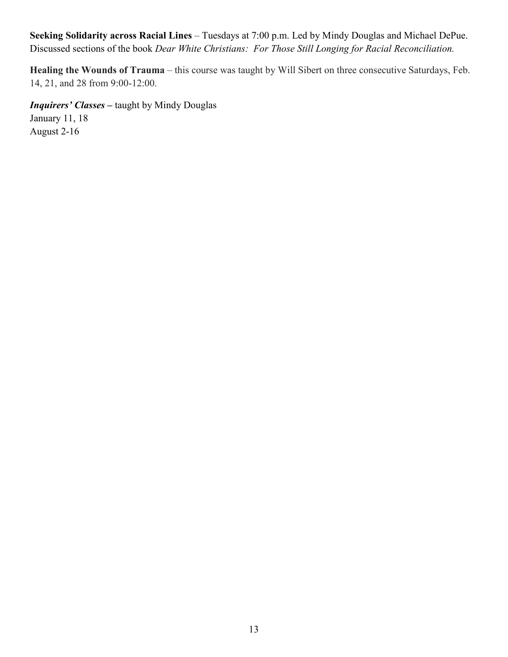**Seeking Solidarity across Racial Lines** – Tuesdays at 7:00 p.m. Led by Mindy Douglas and Michael DePue. Discussed sections of the book *Dear White Christians: For Those Still Longing for Racial Reconciliation.* 

**Healing the Wounds of Trauma** – this course was taught by Will Sibert on three consecutive Saturdays, Feb. 14, 21, and 28 from 9:00-12:00.

*Inquirers' Classes –* taught by Mindy Douglas January 11, 18 August 2-16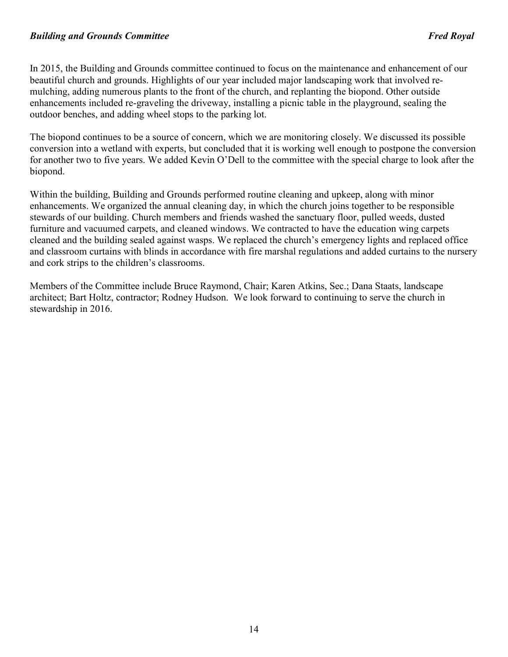#### *Building and Grounds Committee Fred Royal*

In 2015, the Building and Grounds committee continued to focus on the maintenance and enhancement of our beautiful church and grounds. Highlights of our year included major landscaping work that involved remulching, adding numerous plants to the front of the church, and replanting the biopond. Other outside enhancements included re-graveling the driveway, installing a picnic table in the playground, sealing the outdoor benches, and adding wheel stops to the parking lot.

The biopond continues to be a source of concern, which we are monitoring closely. We discussed its possible conversion into a wetland with experts, but concluded that it is working well enough to postpone the conversion for another two to five years. We added Kevin O'Dell to the committee with the special charge to look after the biopond.

Within the building, Building and Grounds performed routine cleaning and upkeep, along with minor enhancements. We organized the annual cleaning day, in which the church joins together to be responsible stewards of our building. Church members and friends washed the sanctuary floor, pulled weeds, dusted furniture and vacuumed carpets, and cleaned windows. We contracted to have the education wing carpets cleaned and the building sealed against wasps. We replaced the church's emergency lights and replaced office and classroom curtains with blinds in accordance with fire marshal regulations and added curtains to the nursery and cork strips to the children's classrooms.

Members of the Committee include Bruce Raymond, Chair; Karen Atkins, Sec.; Dana Staats, landscape architect; Bart Holtz, contractor; Rodney Hudson. We look forward to continuing to serve the church in stewardship in 2016.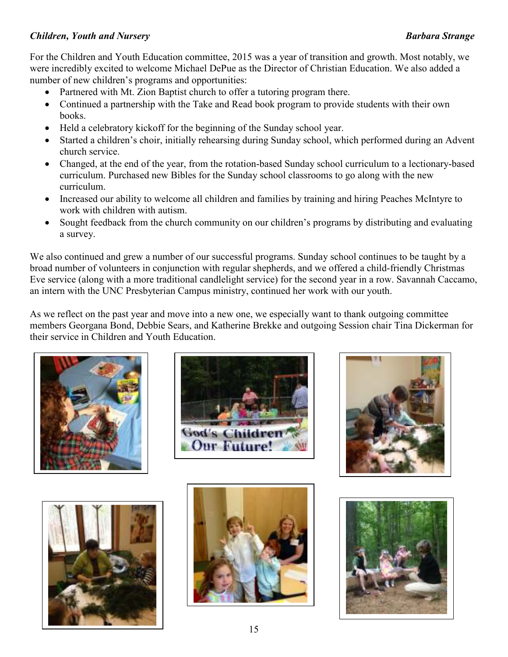## *Children, Youth and Nursery Barbara Strange*

For the Children and Youth Education committee, 2015 was a year of transition and growth. Most notably, we were incredibly excited to welcome Michael DePue as the Director of Christian Education. We also added a number of new children's programs and opportunities:

- Partnered with Mt. Zion Baptist church to offer a tutoring program there.
- Continued a partnership with the Take and Read book program to provide students with their own books.
- Held a celebratory kickoff for the beginning of the Sunday school year.
- Started a children's choir, initially rehearsing during Sunday school, which performed during an Advent church service.
- Changed, at the end of the year, from the rotation-based Sunday school curriculum to a lectionary-based curriculum. Purchased new Bibles for the Sunday school classrooms to go along with the new curriculum.
- Increased our ability to welcome all children and families by training and hiring Peaches McIntyre to work with children with autism.
- Sought feedback from the church community on our children's programs by distributing and evaluating a survey.

We also continued and grew a number of our successful programs. Sunday school continues to be taught by a broad number of volunteers in conjunction with regular shepherds, and we offered a child-friendly Christmas Eve service (along with a more traditional candlelight service) for the second year in a row. Savannah Caccamo, an intern with the UNC Presbyterian Campus ministry, continued her work with our youth.

As we reflect on the past year and move into a new one, we especially want to thank outgoing committee members Georgana Bond, Debbie Sears, and Katherine Brekke and outgoing Session chair Tina Dickerman for their service in Children and Youth Education.











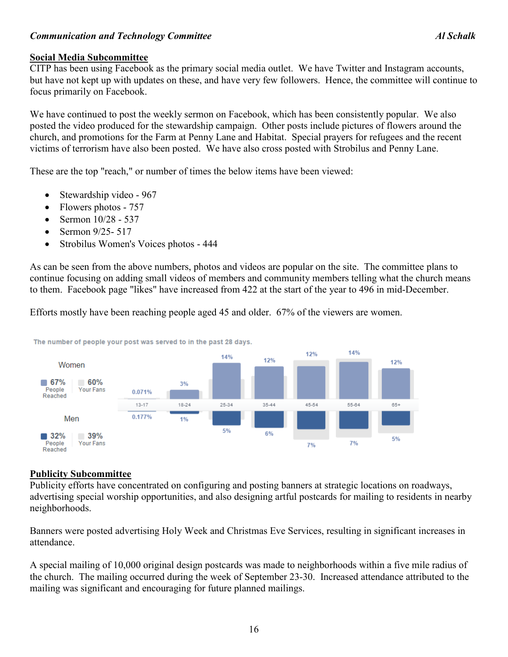## *Communication and Technology Committee Al Schalk*

## **Social Media Subcommittee**

CITP has been using Facebook as the primary social media outlet. We have Twitter and Instagram accounts, but have not kept up with updates on these, and have very few followers. Hence, the committee will continue to focus primarily on Facebook.

We have continued to post the weekly sermon on Facebook, which has been consistently popular. We also posted the video produced for the stewardship campaign. Other posts include pictures of flowers around the church, and promotions for the Farm at Penny Lane and Habitat. Special prayers for refugees and the recent victims of terrorism have also been posted. We have also cross posted with Strobilus and Penny Lane.

These are the top "reach," or number of times the below items have been viewed:

- Stewardship video 967
- Flowers photos 757
- Sermon 10/28 537
- Sermon 9/25 517
- Strobilus Women's Voices photos 444

As can be seen from the above numbers, photos and videos are popular on the site. The committee plans to continue focusing on adding small videos of members and community members telling what the church means to them. Facebook page "likes" have increased from 422 at the start of the year to 496 in mid-December.

Efforts mostly have been reaching people aged 45 and older. 67% of the viewers are women.



The number of people your post was served to in the past 28 days.

#### **Publicity Subcommittee**

Publicity efforts have concentrated on configuring and posting banners at strategic locations on roadways, advertising special worship opportunities, and also designing artful postcards for mailing to residents in nearby neighborhoods.

Banners were posted advertising Holy Week and Christmas Eve Services, resulting in significant increases in attendance.

A special mailing of 10,000 original design postcards was made to neighborhoods within a five mile radius of the church. The mailing occurred during the week of September 23-30. Increased attendance attributed to the mailing was significant and encouraging for future planned mailings.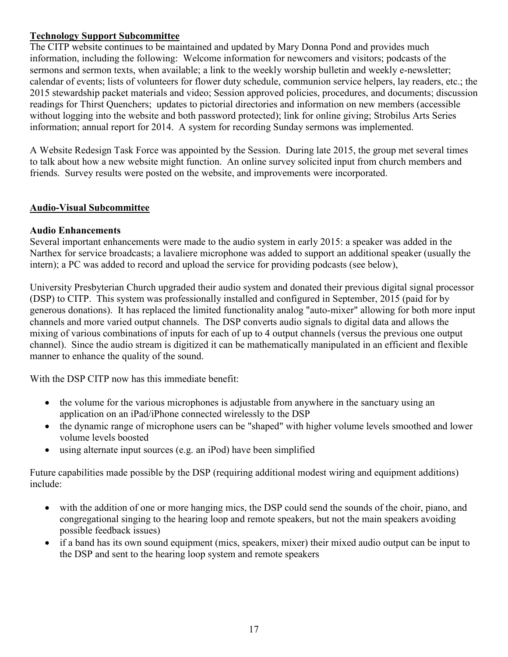## **Technology Support Subcommittee**

The CITP website continues to be maintained and updated by Mary Donna Pond and provides much information, including the following: Welcome information for newcomers and visitors; podcasts of the sermons and sermon texts, when available; a link to the weekly worship bulletin and weekly e-newsletter; calendar of events; lists of volunteers for flower duty schedule, communion service helpers, lay readers, etc.; the 2015 stewardship packet materials and video; Session approved policies, procedures, and documents; discussion readings for Thirst Quenchers; updates to pictorial directories and information on new members (accessible without logging into the website and both password protected); link for online giving; Strobilus Arts Series information; annual report for 2014. A system for recording Sunday sermons was implemented.

A Website Redesign Task Force was appointed by the Session. During late 2015, the group met several times to talk about how a new website might function. An online survey solicited input from church members and friends. Survey results were posted on the website, and improvements were incorporated.

## **Audio-Visual Subcommittee**

## **Audio Enhancements**

Several important enhancements were made to the audio system in early 2015: a speaker was added in the Narthex for service broadcasts; a lavaliere microphone was added to support an additional speaker (usually the intern); a PC was added to record and upload the service for providing podcasts (see below),

University Presbyterian Church upgraded their audio system and donated their previous digital signal processor (DSP) to CITP. This system was professionally installed and configured in September, 2015 (paid for by generous donations). It has replaced the limited functionality analog "auto-mixer" allowing for both more input channels and more varied output channels. The DSP converts audio signals to digital data and allows the mixing of various combinations of inputs for each of up to 4 output channels (versus the previous one output channel). Since the audio stream is digitized it can be mathematically manipulated in an efficient and flexible manner to enhance the quality of the sound.

With the DSP CITP now has this immediate benefit:

- the volume for the various microphones is adjustable from anywhere in the sanctuary using an application on an iPad/iPhone connected wirelessly to the DSP
- the dynamic range of microphone users can be "shaped" with higher volume levels smoothed and lower volume levels boosted
- using alternate input sources (e.g. an iPod) have been simplified

Future capabilities made possible by the DSP (requiring additional modest wiring and equipment additions) include:

- with the addition of one or more hanging mics, the DSP could send the sounds of the choir, piano, and congregational singing to the hearing loop and remote speakers, but not the main speakers avoiding possible feedback issues)
- if a band has its own sound equipment (mics, speakers, mixer) their mixed audio output can be input to the DSP and sent to the hearing loop system and remote speakers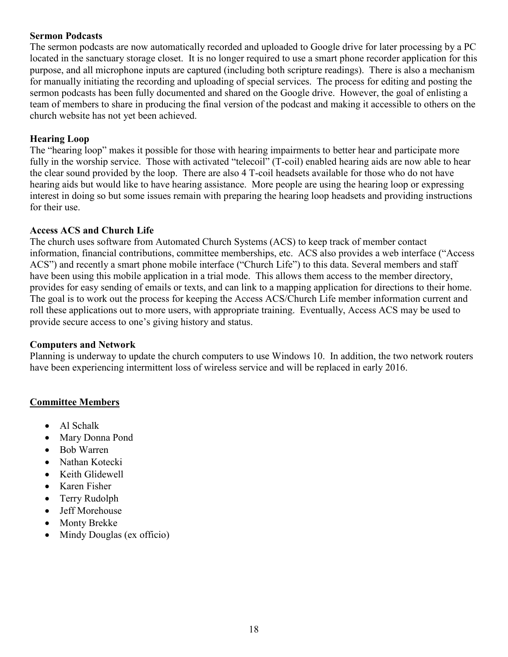## **Sermon Podcasts**

The sermon podcasts are now automatically recorded and uploaded to Google drive for later processing by a PC located in the sanctuary storage closet. It is no longer required to use a smart phone recorder application for this purpose, and all microphone inputs are captured (including both scripture readings). There is also a mechanism for manually initiating the recording and uploading of special services. The process for editing and posting the sermon podcasts has been fully documented and shared on the Google drive. However, the goal of enlisting a team of members to share in producing the final version of the podcast and making it accessible to others on the church website has not yet been achieved.

#### **Hearing Loop**

The "hearing loop" makes it possible for those with hearing impairments to better hear and participate more fully in the worship service. Those with activated "telecoil" (T-coil) enabled hearing aids are now able to hear the clear sound provided by the loop. There are also 4 T-coil headsets available for those who do not have hearing aids but would like to have hearing assistance. More people are using the hearing loop or expressing interest in doing so but some issues remain with preparing the hearing loop headsets and providing instructions for their use.

### **Access ACS and Church Life**

The church uses software from Automated Church Systems (ACS) to keep track of member contact information, financial contributions, committee memberships, etc. ACS also provides a web interface ("Access ACS") and recently a smart phone mobile interface ("Church Life") to this data. Several members and staff have been using this mobile application in a trial mode. This allows them access to the member directory, provides for easy sending of emails or texts, and can link to a mapping application for directions to their home. The goal is to work out the process for keeping the Access ACS/Church Life member information current and roll these applications out to more users, with appropriate training. Eventually, Access ACS may be used to provide secure access to one's giving history and status.

#### **Computers and Network**

Planning is underway to update the church computers to use Windows 10. In addition, the two network routers have been experiencing intermittent loss of wireless service and will be replaced in early 2016.

#### **Committee Members**

- Al Schalk
- Mary Donna Pond
- Bob Warren
- Nathan Kotecki
- Keith Glidewell
- Karen Fisher
- Terry Rudolph
- Jeff Morehouse
- Monty Brekke
- Mindy Douglas (ex officio)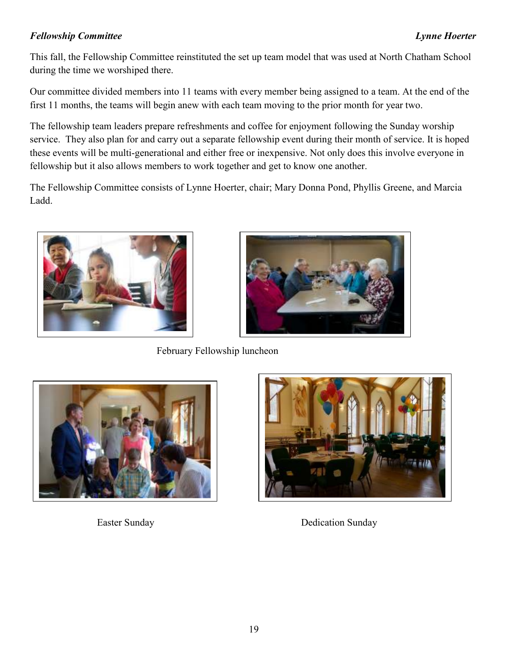# *Fellowship Committee Lynne Hoerter*

This fall, the Fellowship Committee reinstituted the set up team model that was used at North Chatham School during the time we worshiped there.

Our committee divided members into 11 teams with every member being assigned to a team. At the end of the first 11 months, the teams will begin anew with each team moving to the prior month for year two.

The fellowship team leaders prepare refreshments and coffee for enjoyment following the Sunday worship service. They also plan for and carry out a separate fellowship event during their month of service. It is hoped these events will be multi-generational and either free or inexpensive. Not only does this involve everyone in fellowship but it also allows members to work together and get to know one another.

The Fellowship Committee consists of Lynne Hoerter, chair; Mary Donna Pond, Phyllis Greene, and Marcia Ladd.





February Fellowship luncheon





Easter Sunday Dedication Sunday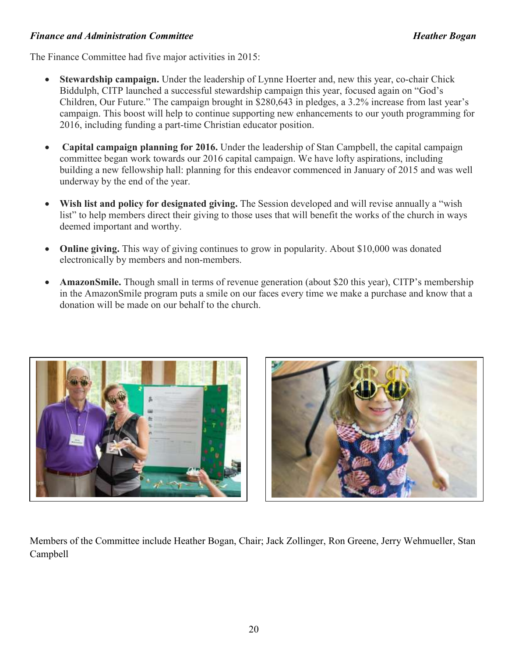## *Finance and Administration Committee Heather Bogan*

The Finance Committee had five major activities in 2015:

- **Stewardship campaign.** Under the leadership of Lynne Hoerter and, new this year, co-chair Chick Biddulph, CITP launched a successful stewardship campaign this year, focused again on "God's Children, Our Future." The campaign brought in \$280,643 in pledges, a 3.2% increase from last year's campaign. This boost will help to continue supporting new enhancements to our youth programming for 2016, including funding a part-time Christian educator position.
- **Capital campaign planning for 2016.** Under the leadership of Stan Campbell, the capital campaign committee began work towards our 2016 capital campaign. We have lofty aspirations, including building a new fellowship hall: planning for this endeavor commenced in January of 2015 and was well underway by the end of the year.
- **Wish list and policy for designated giving.** The Session developed and will revise annually a "wish list" to help members direct their giving to those uses that will benefit the works of the church in ways deemed important and worthy.
- **Online giving.** This way of giving continues to grow in popularity. About \$10,000 was donated electronically by members and non-members.
- **AmazonSmile.** Though small in terms of revenue generation (about \$20 this year), CITP's membership in the AmazonSmile program puts a smile on our faces every time we make a purchase and know that a donation will be made on our behalf to the church.





Members of the Committee include Heather Bogan, Chair; Jack Zollinger, Ron Greene, Jerry Wehmueller, Stan Campbell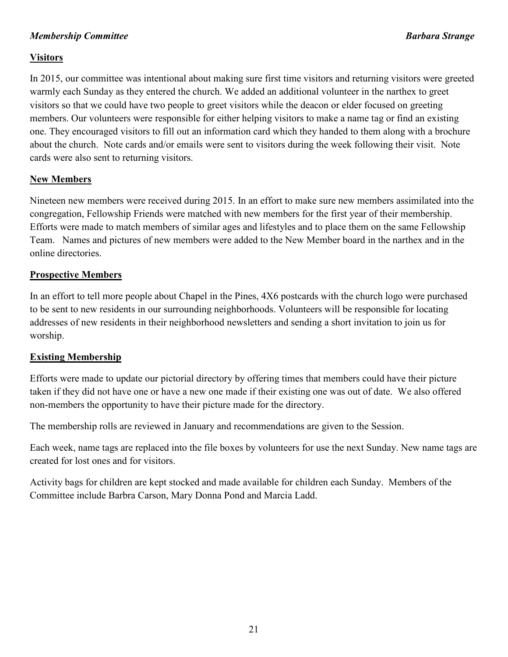## *Membership Committee* Barbara Strange **Barbara Strange Barbara Strange**

## **Visitors**

In 2015, our committee was intentional about making sure first time visitors and returning visitors were greeted warmly each Sunday as they entered the church. We added an additional volunteer in the narthex to greet visitors so that we could have two people to greet visitors while the deacon or elder focused on greeting members. Our volunteers were responsible for either helping visitors to make a name tag or find an existing one. They encouraged visitors to fill out an information card which they handed to them along with a brochure about the church. Note cards and/or emails were sent to visitors during the week following their visit. Note cards were also sent to returning visitors.

## **New Members**

Nineteen new members were received during 2015. In an effort to make sure new members assimilated into the congregation, Fellowship Friends were matched with new members for the first year of their membership. Efforts were made to match members of similar ages and lifestyles and to place them on the same Fellowship Team. Names and pictures of new members were added to the New Member board in the narthex and in the online directories.

## **Prospective Members**

In an effort to tell more people about Chapel in the Pines, 4X6 postcards with the church logo were purchased to be sent to new residents in our surrounding neighborhoods. Volunteers will be responsible for locating addresses of new residents in their neighborhood newsletters and sending a short invitation to join us for worship.

## **Existing Membership**

Efforts were made to update our pictorial directory by offering times that members could have their picture taken if they did not have one or have a new one made if their existing one was out of date. We also offered non-members the opportunity to have their picture made for the directory.

The membership rolls are reviewed in January and recommendations are given to the Session.

Each week, name tags are replaced into the file boxes by volunteers for use the next Sunday. New name tags are created for lost ones and for visitors.

Activity bags for children are kept stocked and made available for children each Sunday. Members of the Committee include Barbra Carson, Mary Donna Pond and Marcia Ladd.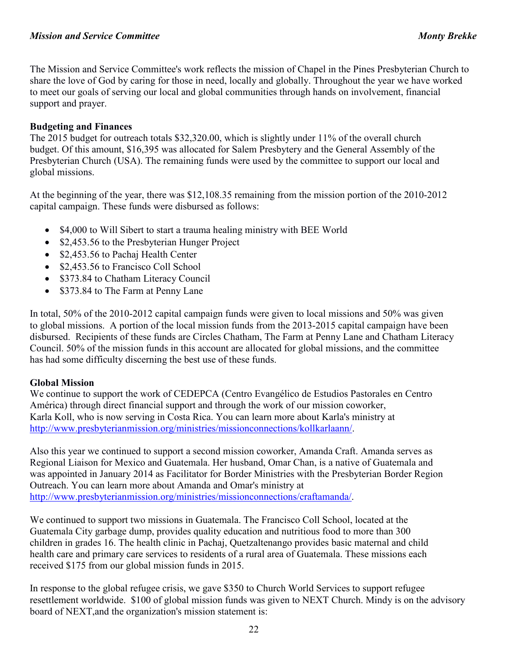The Mission and Service Committee's work reflects the mission of Chapel in the Pines Presbyterian Church to share the love of God by caring for those in need, locally and globally. Throughout the year we have worked to meet our goals of serving our local and global communities through hands on involvement, financial support and prayer.

## **Budgeting and Finances**

The 2015 budget for outreach totals \$32,320.00, which is slightly under 11% of the overall church budget. Of this amount, \$16,395 was allocated for Salem Presbytery and the General Assembly of the Presbyterian Church (USA). The remaining funds were used by the committee to support our local and global missions.

At the beginning of the year, there was \$12,108.35 remaining from the mission portion of the 2010-2012 capital campaign. These funds were disbursed as follows:

- \$4,000 to Will Sibert to start a trauma healing ministry with BEE World
- \$2,453.56 to the Presbyterian Hunger Project
- \$2,453.56 to Pachaj Health Center
- \$2,453.56 to Francisco Coll School
- \$373.84 to Chatham Literacy Council
- \$373.84 to The Farm at Penny Lane

In total, 50% of the 2010-2012 capital campaign funds were given to local missions and 50% was given to global missions. A portion of the local mission funds from the 2013-2015 capital campaign have been disbursed. Recipients of these funds are Circles Chatham, The Farm at Penny Lane and Chatham Literacy Council. 50% of the mission funds in this account are allocated for global missions, and the committee has had some difficulty discerning the best use of these funds.

## **Global Mission**

We continue to support the work of CEDEPCA (Centro Evangélico de Estudios Pastorales en Centro América) through direct financial support and through the work of our mission coworker, Karla Koll, who is now serving in Costa Rica. You can learn more about Karla's ministry at http://www.presbyterianmission.org/ministries/missionconnections/kollkarlaann/.

Also this year we continued to support a second mission coworker, Amanda Craft. Amanda serves as Regional Liaison for Mexico and Guatemala. Her husband, Omar Chan, is a native of Guatemala and was appointed in January 2014 as Facilitator for Border Ministries with the Presbyterian Border Region Outreach. You can learn more about Amanda and Omar's ministry at http://www.presbyterianmission.org/ministries/missionconnections/craftamanda/.

We continued to support two missions in Guatemala. The Francisco Coll School, located at the Guatemala City garbage dump, provides quality education and nutritious food to more than 300 children in grades 16. The health clinic in Pachaj, Quetzaltenango provides basic maternal and child health care and primary care services to residents of a rural area of Guatemala. These missions each received \$175 from our global mission funds in 2015.

In response to the global refugee crisis, we gave \$350 to Church World Services to support refugee resettlement worldwide. \$100 of global mission funds was given to NEXT Church. Mindy is on the advisory board of NEXT,and the organization's mission statement is: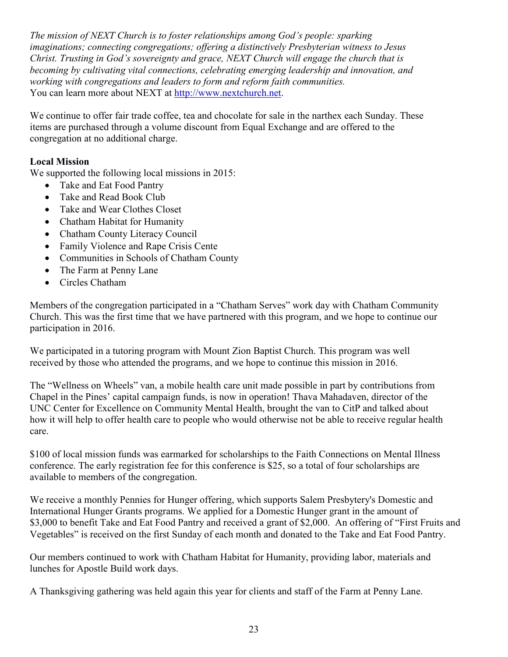*The mission of NEXT Church is to foster relationships among God's people: sparking imaginations; connecting congregations; offering a distinctively Presbyterian witness to Jesus Christ. Trusting in God's sovereignty and grace, NEXT Church will engage the church that is becoming by cultivating vital connections, celebrating emerging leadership and innovation, and working with congregations and leaders to form and reform faith communities.*  You can learn more about NEXT at http://www.nextchurch.net.

We continue to offer fair trade coffee, tea and chocolate for sale in the narthex each Sunday. These items are purchased through a volume discount from Equal Exchange and are offered to the congregation at no additional charge.

## **Local Mission**

We supported the following local missions in 2015:

- Take and Eat Food Pantry
- Take and Read Book Club
- Take and Wear Clothes Closet
- Chatham Habitat for Humanity
- Chatham County Literacy Council
- Family Violence and Rape Crisis Cente
- Communities in Schools of Chatham County
- The Farm at Penny Lane
- Circles Chatham

Members of the congregation participated in a "Chatham Serves" work day with Chatham Community Church. This was the first time that we have partnered with this program, and we hope to continue our participation in 2016.

We participated in a tutoring program with Mount Zion Baptist Church. This program was well received by those who attended the programs, and we hope to continue this mission in 2016.

The "Wellness on Wheels" van, a mobile health care unit made possible in part by contributions from Chapel in the Pines' capital campaign funds, is now in operation! Thava Mahadaven, director of the UNC Center for Excellence on Community Mental Health, brought the van to CitP and talked about how it will help to offer health care to people who would otherwise not be able to receive regular health care.

\$100 of local mission funds was earmarked for scholarships to the Faith Connections on Mental Illness conference. The early registration fee for this conference is \$25, so a total of four scholarships are available to members of the congregation.

We receive a monthly Pennies for Hunger offering, which supports Salem Presbytery's Domestic and International Hunger Grants programs. We applied for a Domestic Hunger grant in the amount of \$3,000 to benefit Take and Eat Food Pantry and received a grant of \$2,000. An offering of "First Fruits and Vegetables" is received on the first Sunday of each month and donated to the Take and Eat Food Pantry.

Our members continued to work with Chatham Habitat for Humanity, providing labor, materials and lunches for Apostle Build work days.

A Thanksgiving gathering was held again this year for clients and staff of the Farm at Penny Lane.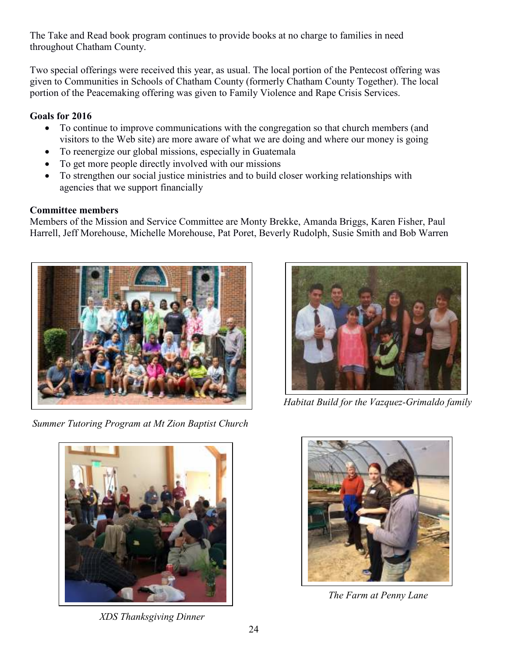The Take and Read book program continues to provide books at no charge to families in need throughout Chatham County.

Two special offerings were received this year, as usual. The local portion of the Pentecost offering was given to Communities in Schools of Chatham County (formerly Chatham County Together). The local portion of the Peacemaking offering was given to Family Violence and Rape Crisis Services.

## **Goals for 2016**

- To continue to improve communications with the congregation so that church members (and visitors to the Web site) are more aware of what we are doing and where our money is going
- To reenergize our global missions, especially in Guatemala
- To get more people directly involved with our missions
- To strengthen our social justice ministries and to build closer working relationships with agencies that we support financially

# **Committee members**

Members of the Mission and Service Committee are Monty Brekke, Amanda Briggs, Karen Fisher, Paul Harrell, Jeff Morehouse, Michelle Morehouse, Pat Poret, Beverly Rudolph, Susie Smith and Bob Warren



 *Summer Tutoring Program at Mt Zion Baptist Church* 



 *Habitat Build for the Vazquez-Grimaldo family* 



 *XDS Thanksgiving Dinner* 



 *The Farm at Penny Lane*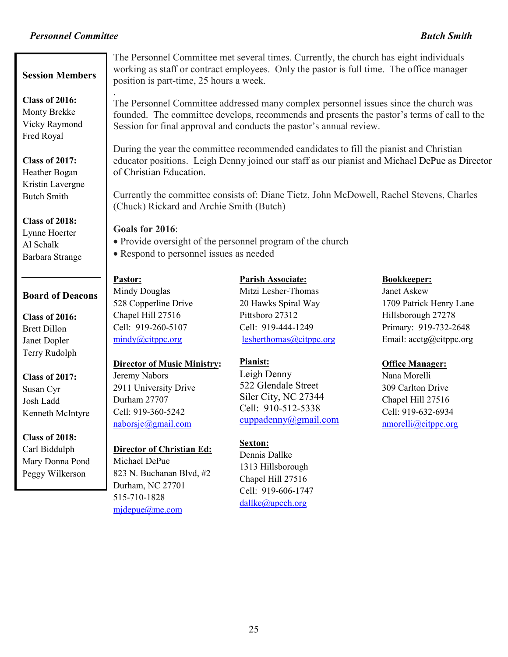## *Personnel Committee Butch Smith*

#### **Session Members**

 Monty Brekke **Class of 2016:**  Vicky Raymond Fred Royal

## **Class of 2017:**  Heather Bogan Kristin Lavergne Butch Smith

**Class of 2018:**  Lynne Hoerter Al Schalk Barbara Strange

### **Board of Deacons**

**Class of 2016:**  Brett Dillon Janet Dopler Terry Rudolph

**Class of 2017:**  Susan Cyr Josh Ladd Kenneth McIntyre

## **Class of 2018:**  Carl Biddulph Mary Donna Pond Peggy Wilkerson

The Personnel Committee met several times. Currently, the church has eight individuals working as staff or contract employees. Only the pastor is full time. The office manager position is part-time, 25 hours a week.

. The Personnel Committee addressed many complex personnel issues since the church was founded. The committee develops, recommends and presents the pastor's terms of call to the Session for final approval and conducts the pastor's annual review.

During the year the committee recommended candidates to fill the pianist and Christian educator positions. Leigh Denny joined our staff as our pianist and Michael DePue as Director of Christian Education.

Currently the committee consists of: Diane Tietz, John McDowell, Rachel Stevens, Charles (Chuck) Rickard and Archie Smith (Butch)

#### **Goals for 2016**:

- Provide oversight of the personnel program of the church
- Respond to personnel issues as needed

# **Pastor:**

Mindy Douglas 528 Copperline Drive Chapel Hill 27516 Cell: 919-260-5107 mindy@citppc.org

# **Director of Music Ministry:**

Jeremy Nabors 2911 University Drive Durham 27707 Cell: 919-360-5242 naborsje@gmail.com

## **Director of Christian Ed:**

Michael DePue 823 N. Buchanan Blvd, #2 Durham, NC 27701 515-710-1828 mjdepue@me.com

**Parish Associate:** Mitzi Lesher-Thomas 20 Hawks Spiral Way Pittsboro 27312 Cell: 919-444-1249 lesherthomas@citppc.org

## **Pianist:**

Leigh Denny 522 Glendale Street Siler City, NC 27344 Cell: 910-512-5338 cuppadenny@gmail.com

## **Sexton:**

Dennis Dallke 1313 Hillsborough Chapel Hill 27516 Cell: 919-606-1747 dallke@upcch.org

#### **Bookkeeper:**

Janet Askew 1709 Patrick Henry Lane Hillsborough 27278 Primary: 919-732-2648 Email:  $\arctan(\omega)$ citppc.org

## **Office Manager:**

Nana Morelli 309 Carlton Drive Chapel Hill 27516 Cell: 919-632-6934 nmorelli@citppc.org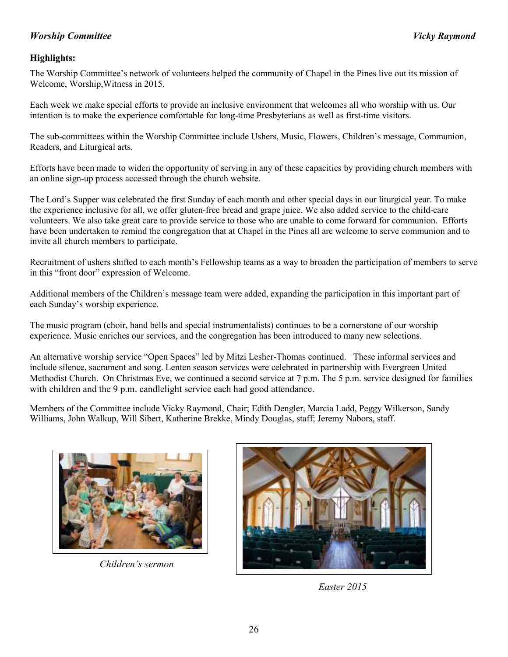## *Worship Committee Vicky Raymond*

## **Highlights:**

The Worship Committee's network of volunteers helped the community of Chapel in the Pines live out its mission of Welcome, Worship,Witness in 2015.

Each week we make special efforts to provide an inclusive environment that welcomes all who worship with us. Our intention is to make the experience comfortable for long-time Presbyterians as well as first-time visitors.

The sub-committees within the Worship Committee include Ushers, Music, Flowers, Children's message, Communion, Readers, and Liturgical arts.

Efforts have been made to widen the opportunity of serving in any of these capacities by providing church members with an online sign-up process accessed through the church website.

The Lord's Supper was celebrated the first Sunday of each month and other special days in our liturgical year. To make the experience inclusive for all, we offer gluten-free bread and grape juice. We also added service to the child-care volunteers. We also take great care to provide service to those who are unable to come forward for communion. Efforts have been undertaken to remind the congregation that at Chapel in the Pines all are welcome to serve communion and to invite all church members to participate.

Recruitment of ushers shifted to each month's Fellowship teams as a way to broaden the participation of members to serve in this "front door" expression of Welcome.

Additional members of the Children's message team were added, expanding the participation in this important part of each Sunday's worship experience.

The music program (choir, hand bells and special instrumentalists) continues to be a cornerstone of our worship experience. Music enriches our services, and the congregation has been introduced to many new selections.

An alternative worship service "Open Spaces" led by Mitzi Lesher-Thomas continued. These informal services and include silence, sacrament and song. Lenten season services were celebrated in partnership with Evergreen United Methodist Church. On Christmas Eve, we continued a second service at 7 p.m. The 5 p.m. service designed for families with children and the 9 p.m. candlelight service each had good attendance.

Members of the Committee include Vicky Raymond, Chair; Edith Dengler, Marcia Ladd, Peggy Wilkerson, Sandy Williams, John Walkup, Will Sibert, Katherine Brekke, Mindy Douglas, staff; Jeremy Nabors, staff.



*Children's sermon* 



 *Easter 2015*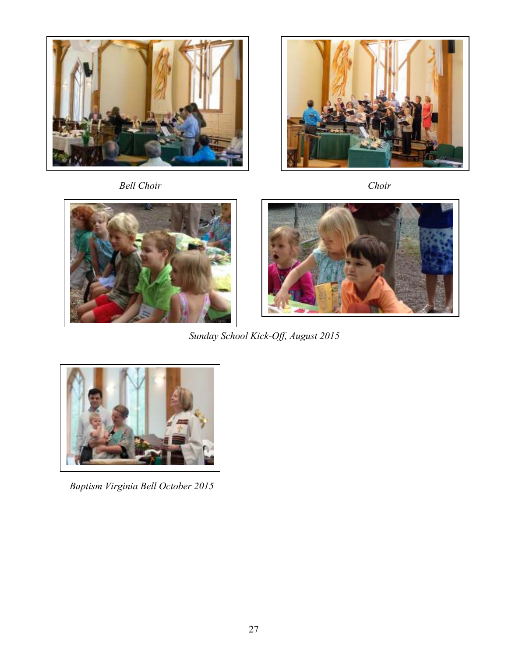

 *Bell Choir Choir*





*Sunday School Kick-Off, August 2015* 



 *Baptism Virginia Bell October 2015*